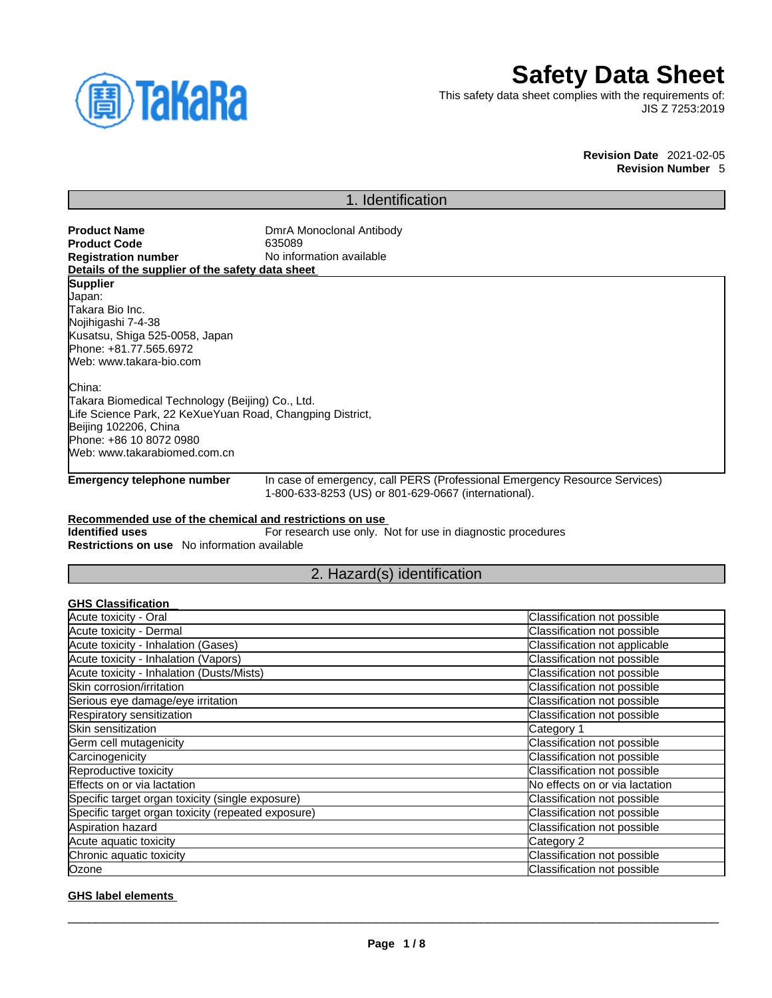

# **Safety Data Sheet**

This safety data sheet complies with the requirements of: JIS Z 7253:2019

> **Revision Date** 2021-02-05 **Revision Number** 5

# 1. Identification

| <b>Product Name</b><br><b>Product Code</b>                | DmrA Monoclonal Antibody<br>635089                          |                                                                            |
|-----------------------------------------------------------|-------------------------------------------------------------|----------------------------------------------------------------------------|
| <b>Registration number</b>                                | No information available                                    |                                                                            |
| Details of the supplier of the safety data sheet          |                                                             |                                                                            |
| <b>Supplier</b>                                           |                                                             |                                                                            |
| Japan:                                                    |                                                             |                                                                            |
| ITakara Bio Inc.                                          |                                                             |                                                                            |
| Nojihigashi 7-4-38                                        |                                                             |                                                                            |
| Kusatsu, Shiga 525-0058, Japan                            |                                                             |                                                                            |
| Phone: +81.77.565.6972                                    |                                                             |                                                                            |
| Web: www.takara-bio.com                                   |                                                             |                                                                            |
| China:                                                    |                                                             |                                                                            |
| Takara Biomedical Technology (Beijing) Co., Ltd.          |                                                             |                                                                            |
| Life Science Park, 22 KeXueYuan Road, Changping District, |                                                             |                                                                            |
| Beijing 102206, China                                     |                                                             |                                                                            |
| Phone: +86 10 8072 0980                                   |                                                             |                                                                            |
| Web: www.takarabiomed.com.cn                              |                                                             |                                                                            |
| Emergency telephone number                                |                                                             | In case of emergency, call PERS (Professional Emergency Resource Services) |
|                                                           | 1-800-633-8253 (US) or 801-629-0667 (international).        |                                                                            |
| Recommended use of the chemical and restrictions on use   |                                                             |                                                                            |
| <b>Identified uses</b>                                    | For research use only. Not for use in diagnostic procedures |                                                                            |
| <b>Restrictions on use</b> No information available       |                                                             |                                                                            |
|                                                           |                                                             |                                                                            |
|                                                           | 2. Hazard(s) identification                                 |                                                                            |
| <b>GHS Classification</b>                                 |                                                             |                                                                            |
| Acute toxicity - Oral                                     |                                                             | Classification not possible                                                |
| Acute toxicity - Dermal                                   |                                                             | Classification not possible                                                |
| Acute toxicity - Inhalation (Gases)                       |                                                             | Classification not applicable                                              |
| Acute toxicity - Inhalation (Vapors)                      |                                                             | Classification not possible                                                |
| Acute toxicity - Inhalation (Dusts/Mists)                 |                                                             | Classification not possible                                                |
| Skin corrosion/irritation                                 |                                                             | Classification not possible                                                |
| Serious eye damage/eye irritation                         |                                                             | Classification not possible                                                |
| Respiratory sensitization                                 |                                                             | Classification not possible                                                |
| Skin sensitization                                        |                                                             | Category 1                                                                 |
| $C$ arm and mutagoniaity.                                 |                                                             | Clongification not possible                                                |

| Skin sensitization                                 | Category 1                     |
|----------------------------------------------------|--------------------------------|
| Germ cell mutagenicity                             | Classification not possible    |
| Carcinogenicity                                    | Classification not possible    |
| Reproductive toxicity                              | Classification not possible    |
| Effects on or via lactation                        | No effects on or via lactation |
| Specific target organ toxicity (single exposure)   | Classification not possible    |
| Specific target organ toxicity (repeated exposure) | Classification not possible    |
| Aspiration hazard                                  | Classification not possible    |
| Acute aquatic toxicity                             | Category 2                     |
| Chronic aquatic toxicity                           | Classification not possible    |
| Ozone                                              | Classification not possible    |

## **GHS label elements**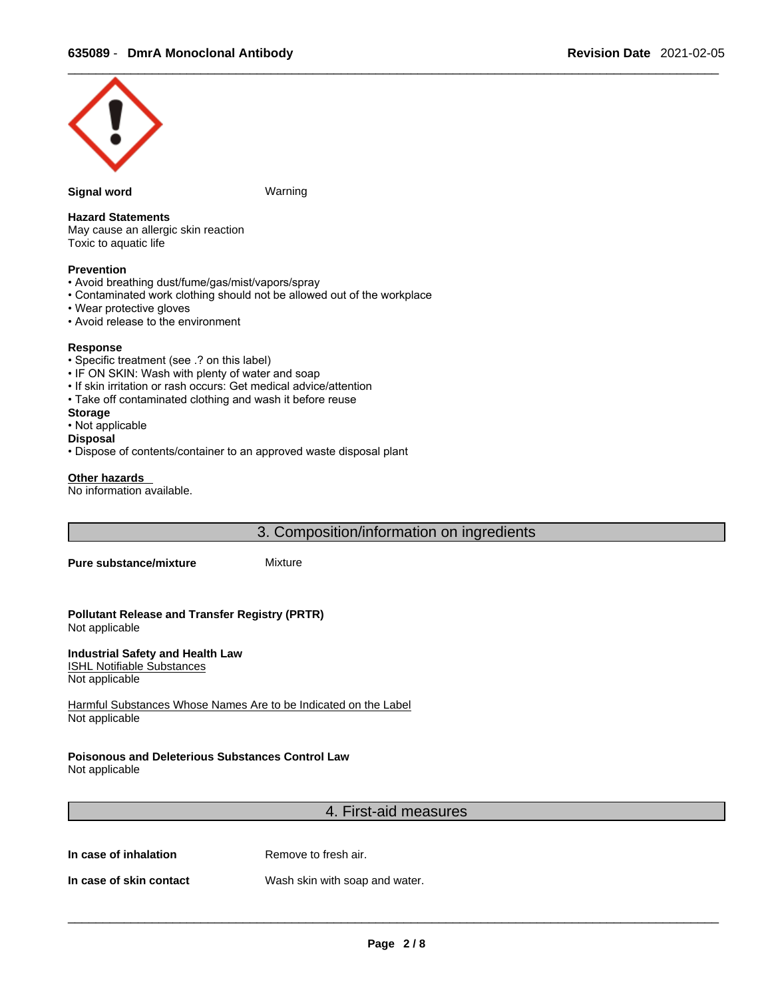

#### **Signal word Warning**

### **Hazard Statements**

May cause an allergic skin reaction Toxic to aquatic life

## **Prevention**

- Avoid breathing dust/fume/gas/mist/vapors/spray
- Contaminated work clothing should not be allowed out of the workplace
- Wear protective gloves
- Avoid release to the environment

#### **Response**

- Specific treatment (see .? on this label)
- IF ON SKIN: Wash with plenty of water and soap
- If skin irritation or rash occurs: Get medical advice/attention
- Take off contaminated clothing and wash it before reuse
- **Storage**
- Not applicable
- **Disposal**
- Dispose of contents/container to an approved waste disposal plant

#### **Other hazards**

No information available.

3. Composition/information on ingredients

**Pure substance/mixture** Mixture

**Pollutant Release and Transfer Registry (PRTR)** Not applicable

**Industrial Safety and Health Law**  ISHL Notifiable Substances Not applicable

Harmful Substances Whose Names Are to be Indicated on the Label Not applicable

# **Poisonous and Deleterious Substances Control Law**

Not applicable

# 4. First-aid measures

**In case of inhalation** Remove to fresh air.

**In case of skin contact** Wash skin with soap and water.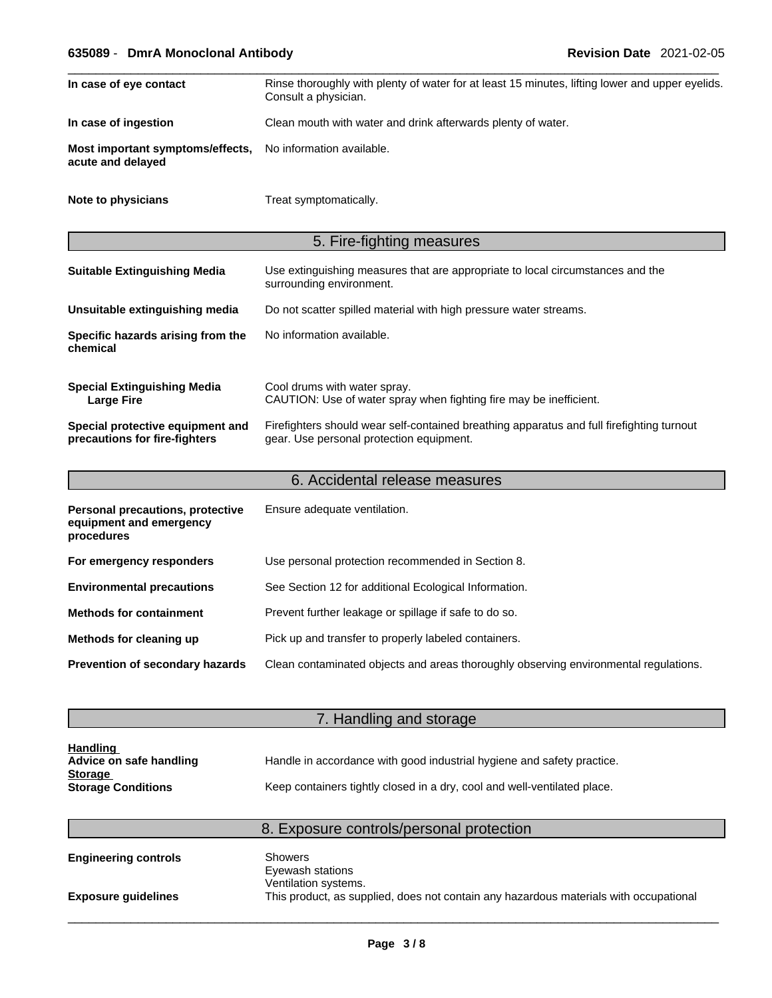# \_\_\_\_\_\_\_\_\_\_\_\_\_\_\_\_\_\_\_\_\_\_\_\_\_\_\_\_\_\_\_\_\_\_\_\_\_\_\_\_\_\_\_\_\_\_\_\_\_\_\_\_\_\_\_\_\_\_\_\_\_\_\_\_\_\_\_\_\_\_\_\_\_\_\_\_\_\_\_\_\_\_\_\_\_\_\_\_\_\_\_\_\_ **635089** - **DmrA Monoclonal Antibody Revision Date** 2021-02-05

| In case of eye contact                                                             | Rinse thoroughly with plenty of water for at least 15 minutes, lifting lower and upper eyelids.<br>Consult a physician.               |  |
|------------------------------------------------------------------------------------|---------------------------------------------------------------------------------------------------------------------------------------|--|
| In case of ingestion                                                               | Clean mouth with water and drink afterwards plenty of water.                                                                          |  |
| No information available.<br>Most important symptoms/effects,<br>acute and delayed |                                                                                                                                       |  |
| Note to physicians                                                                 | Treat symptomatically.                                                                                                                |  |
|                                                                                    | 5. Fire-fighting measures                                                                                                             |  |
| <b>Suitable Extinguishing Media</b>                                                | Use extinguishing measures that are appropriate to local circumstances and the<br>surrounding environment.                            |  |
| Unsuitable extinguishing media                                                     | Do not scatter spilled material with high pressure water streams.                                                                     |  |
| Specific hazards arising from the<br>chemical                                      | No information available.                                                                                                             |  |
| <b>Special Extinguishing Media</b><br><b>Large Fire</b>                            | Cool drums with water spray.<br>CAUTION: Use of water spray when fighting fire may be inefficient.                                    |  |
| Special protective equipment and<br>precautions for fire-fighters                  | Firefighters should wear self-contained breathing apparatus and full firefighting turnout<br>gear. Use personal protection equipment. |  |
|                                                                                    | 6. Accidental release measures                                                                                                        |  |
| Personal precautions, protective<br>equipment and emergency<br>procedures          | Ensure adequate ventilation.                                                                                                          |  |
| For emergency responders                                                           | Use personal protection recommended in Section 8.                                                                                     |  |
| <b>Environmental precautions</b>                                                   | See Section 12 for additional Ecological Information.                                                                                 |  |
|                                                                                    |                                                                                                                                       |  |
|                                                                                    | Prevent further leakage or spillage if safe to do so.                                                                                 |  |
| <b>Methods for containment</b><br>Methods for cleaning up                          | Pick up and transfer to properly labeled containers.                                                                                  |  |

| <b>Handling</b><br>Advice on safe handling<br><b>Storage</b> | Handle in accordance with good industrial hygiene and safety practice.   |  |
|--------------------------------------------------------------|--------------------------------------------------------------------------|--|
| <b>Storage Conditions</b>                                    | Keep containers tightly closed in a dry, cool and well-ventilated place. |  |

# 8. Exposure controls/personal protection

7. Handling and storage

| <b>Engineering controls</b> | Showers<br>Eyewash stations                                                           |
|-----------------------------|---------------------------------------------------------------------------------------|
|                             | Ventilation systems.                                                                  |
| <b>Exposure quidelines</b>  | This product, as supplied, does not contain any hazardous materials with occupational |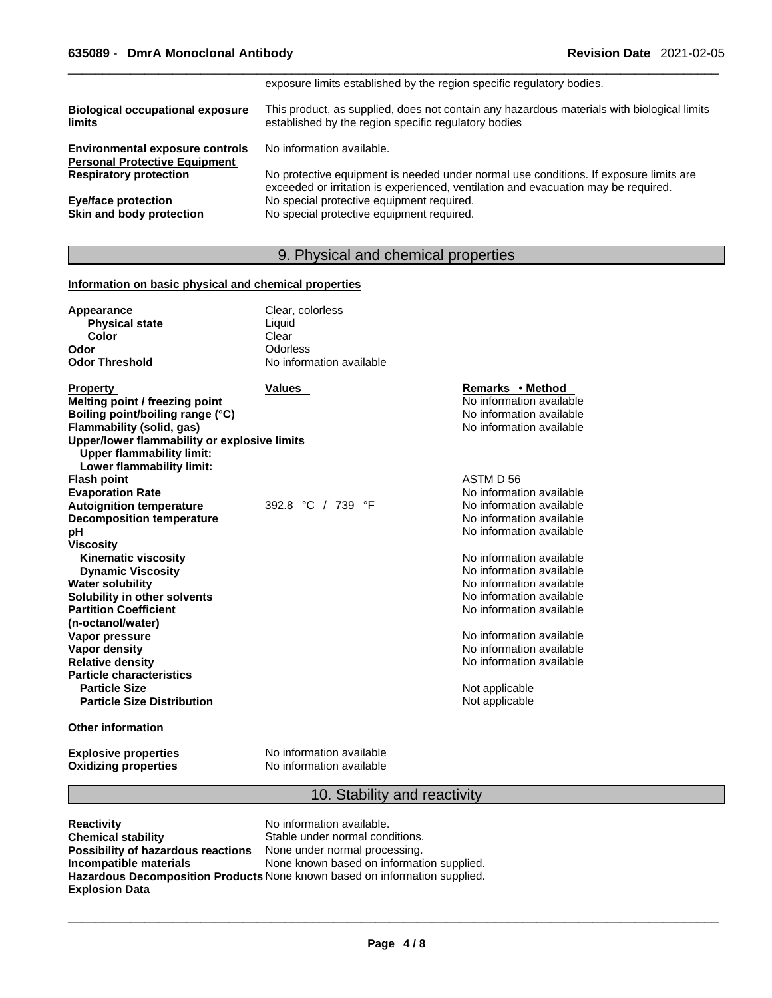|                                                                                | exposure limits established by the region specific regulatory bodies.                                                                                                       |
|--------------------------------------------------------------------------------|-----------------------------------------------------------------------------------------------------------------------------------------------------------------------------|
| <b>Biological occupational exposure</b><br><b>limits</b>                       | This product, as supplied, does not contain any hazardous materials with biological limits<br>established by the region specific regulatory bodies                          |
| <b>Environmental exposure controls</b><br><b>Personal Protective Equipment</b> | No information available.                                                                                                                                                   |
| <b>Respiratory protection</b>                                                  | No protective equipment is needed under normal use conditions. If exposure limits are<br>exceeded or irritation is experienced, ventilation and evacuation may be required. |
| <b>Eye/face protection</b>                                                     | No special protective equipment required.                                                                                                                                   |
| Skin and body protection                                                       | No special protective equipment required.                                                                                                                                   |

# 9. Physical and chemical properties

## **Information on basic physical and chemical properties**

| Appearance<br><b>Physical state</b>                                                                           | Clear, colorless<br>Liquid |                          |
|---------------------------------------------------------------------------------------------------------------|----------------------------|--------------------------|
| Color                                                                                                         | Clear                      |                          |
| Odor                                                                                                          | Odorless                   |                          |
| <b>Odor Threshold</b>                                                                                         | No information available   |                          |
| <b>Property</b>                                                                                               | <b>Values</b>              | Remarks • Method         |
| Melting point / freezing point                                                                                |                            | No information available |
| Boiling point/boiling range (°C)                                                                              |                            | No information available |
| Flammability (solid, gas)                                                                                     |                            | No information available |
| Upper/lower flammability or explosive limits<br><b>Upper flammability limit:</b><br>Lower flammability limit: |                            |                          |
| <b>Flash point</b>                                                                                            |                            | ASTM D 56                |
| <b>Evaporation Rate</b>                                                                                       |                            | No information available |
| <b>Autoignition temperature</b>                                                                               | 392.8 °C / 739 °F          | No information available |
| <b>Decomposition temperature</b>                                                                              |                            | No information available |
| рH                                                                                                            |                            | No information available |
| <b>Viscosity</b>                                                                                              |                            |                          |
| <b>Kinematic viscosity</b>                                                                                    |                            | No information available |
| <b>Dynamic Viscosity</b>                                                                                      |                            | No information available |
| <b>Water solubility</b>                                                                                       |                            | No information available |
| Solubility in other solvents                                                                                  |                            | No information available |
| <b>Partition Coefficient</b>                                                                                  |                            | No information available |
| (n-octanol/water)                                                                                             |                            |                          |
| Vapor pressure                                                                                                |                            | No information available |
| <b>Vapor density</b>                                                                                          |                            | No information available |
| <b>Relative density</b>                                                                                       |                            | No information available |
| <b>Particle characteristics</b>                                                                               |                            |                          |
| <b>Particle Size</b>                                                                                          |                            | Not applicable           |
| <b>Particle Size Distribution</b>                                                                             |                            | Not applicable           |

# **Other information**

**Oxidizing properties** 

**Explosive properties**<br> **Oxidizing properties**<br>
No information available

# 10. Stability and reactivity

**Reactivity Reactivity Reactivity Reactivity Chemical stability Reactivity Reactivity Reactivity Reactivity Reactivity Reactivity Reactivity Reactivity Reactivity Reactivity Reactivity React Possibility of hazardous reactions**<br>Incompatible materials **Explosion Data**

Stable under normal conditions.<br>None under normal processing. None known based on information supplied. **Hazardous Decomposition Products** None known based on information supplied.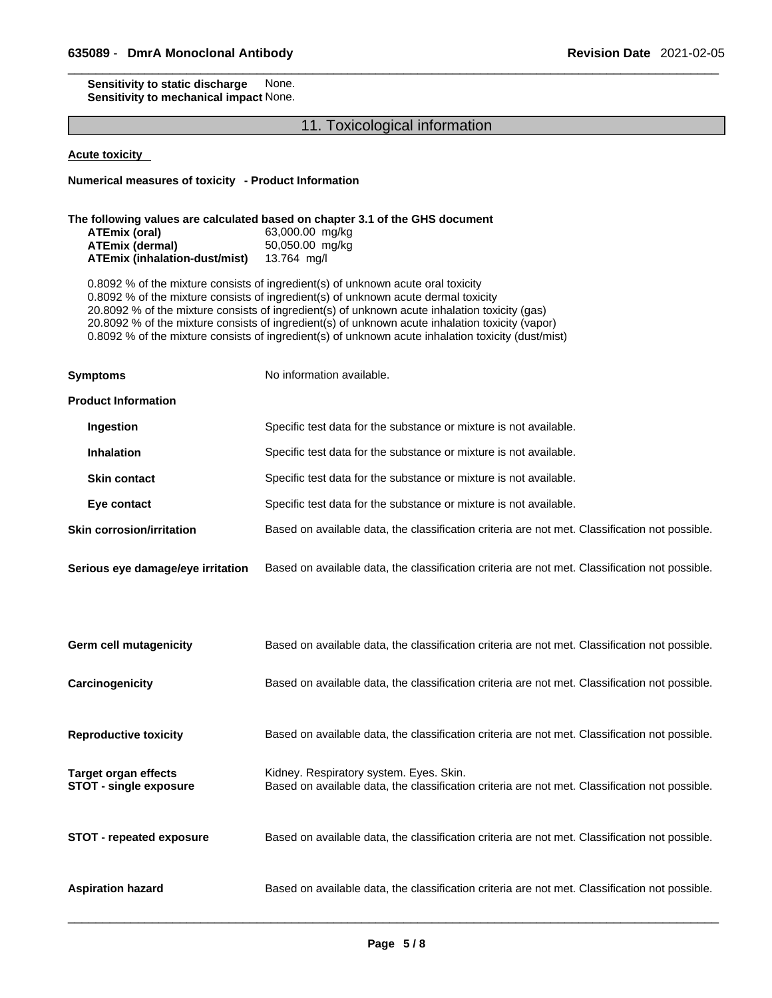#### **Sensitivity to static discharge** None. **Sensitivity to mechanical impact** None.

# 11. Toxicological information

**Acute toxicity** 

**Numerical measures of toxicity - Product Information**

#### **The following values are calculated based on chapter 3.1 of the GHS document**

| ATEmix (oral)                        | 63,000.00 mg/kg |
|--------------------------------------|-----------------|
| ATEmix (dermal)                      | 50,050.00 mg/kg |
| <b>ATEmix (inhalation-dust/mist)</b> | 13.764 mg/l     |

0.8092 % of the mixture consists of ingredient(s) of unknown acute oral toxicity 0.8092 % of the mixture consists of ingredient(s) of unknown acute dermal toxicity 20.8092 % of the mixture consists of ingredient(s) ofunknown acute inhalation toxicity (gas) 20.8092 % of the mixture consists of ingredient(s) of unknown acute inhalation toxicity (vapor) 0.8092 % of the mixture consists of ingredient(s) of unknown acute inhalation toxicity (dust/mist)

**Symptoms** No information available.

#### **Product Information**

| Ingestion                        | Specific test data for the substance or mixture is not available.                              |
|----------------------------------|------------------------------------------------------------------------------------------------|
| <b>Inhalation</b>                | Specific test data for the substance or mixture is not available.                              |
| <b>Skin contact</b>              | Specific test data for the substance or mixture is not available.                              |
| Eye contact                      | Specific test data for the substance or mixture is not available.                              |
| <b>Skin corrosion/irritation</b> | Based on available data, the classification criteria are not met. Classification not possible. |
|                                  |                                                                                                |

**Serious eye damage/eye irritation** Based on available data, the classification criteria are not met. Classification not possible.

| <b>Germ cell mutagenicity</b>                         | Based on available data, the classification criteria are not met. Classification not possible.                                            |
|-------------------------------------------------------|-------------------------------------------------------------------------------------------------------------------------------------------|
| Carcinogenicity                                       | Based on available data, the classification criteria are not met. Classification not possible.                                            |
| <b>Reproductive toxicity</b>                          | Based on available data, the classification criteria are not met. Classification not possible.                                            |
| Target organ effects<br><b>STOT - single exposure</b> | Kidney. Respiratory system. Eyes. Skin.<br>Based on available data, the classification criteria are not met. Classification not possible. |
| <b>STOT - repeated exposure</b>                       | Based on available data, the classification criteria are not met. Classification not possible.                                            |

**Aspiration hazard** Based on available data, the classification criteria are not met. Classification not possible.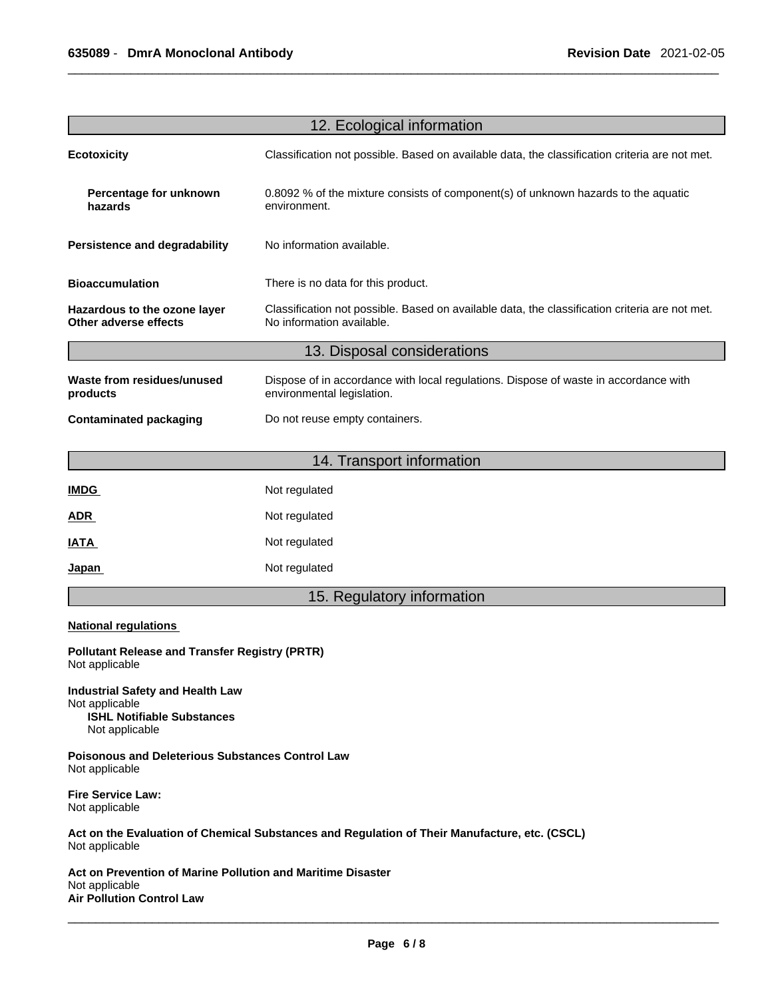| 12. Ecological information                                              |                                                                                                                             |  |
|-------------------------------------------------------------------------|-----------------------------------------------------------------------------------------------------------------------------|--|
| <b>Ecotoxicity</b>                                                      | Classification not possible. Based on available data, the classification criteria are not met.                              |  |
| Percentage for unknown<br>hazards                                       | 0.8092 % of the mixture consists of component(s) of unknown hazards to the aquatic<br>environment.                          |  |
| Persistence and degradability                                           | No information available.                                                                                                   |  |
| <b>Bioaccumulation</b>                                                  | There is no data for this product.                                                                                          |  |
| Hazardous to the ozone layer<br>Other adverse effects                   | Classification not possible. Based on available data, the classification criteria are not met.<br>No information available. |  |
|                                                                         | 13. Disposal considerations                                                                                                 |  |
| Waste from residues/unused<br>products                                  | Dispose of in accordance with local regulations. Dispose of waste in accordance with<br>environmental legislation.          |  |
| <b>Contaminated packaging</b>                                           | Do not reuse empty containers.                                                                                              |  |
|                                                                         | 14. Transport information                                                                                                   |  |
| <b>IMDG</b>                                                             | Not regulated                                                                                                               |  |
| <b>ADR</b>                                                              | Not regulated                                                                                                               |  |
| <b>IATA</b>                                                             | Not regulated                                                                                                               |  |
| Japan                                                                   | Not regulated                                                                                                               |  |
|                                                                         | 15. Regulatory information                                                                                                  |  |
| <b>National regulations</b>                                             |                                                                                                                             |  |
| <b>Pollutant Release and Transfer Registry (PRTR)</b><br>Not applicable |                                                                                                                             |  |

**Industrial Safety and Health Law** Not applicable **ISHL Notifiable Substances** Not applicable

**Poisonous and Deleterious Substances Control Law** Not applicable

**Fire Service Law:** Not applicable

**Act on the Evaluation of Chemical Substances and Regulation of Their Manufacture, etc. (CSCL)** Not applicable

**Act on Prevention of Marine Pollution and Maritime Disaster** Not applicable **Air Pollution Control Law**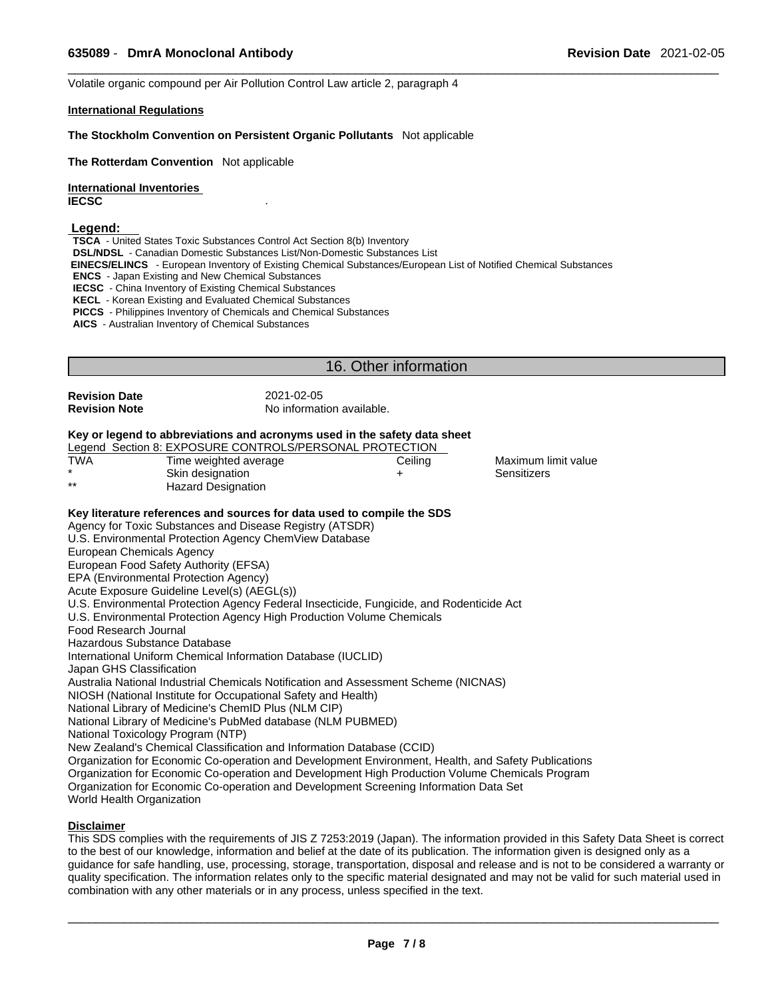Volatile organic compound per Air Pollution Control Law article 2, paragraph 4

#### **International Regulations**

#### **The Stockholm Convention on Persistent Organic Pollutants** Not applicable

**The Rotterdam Convention** Not applicable

**International Inventories IECSC** .

#### **Legend:**

**TSCA** - United States Toxic Substances Control Act Section 8(b) Inventory

**DSL/NDSL** - Canadian Domestic Substances List/Non-Domestic Substances List

 **EINECS/ELINCS** - European Inventory of Existing Chemical Substances/European List of Notified Chemical Substances

**ENCS** - Japan Existing and New Chemical Substances

**IECSC** - China Inventory of Existing Chemical Substances

**KECL** - Korean Existing and Evaluated Chemical Substances

**PICCS** - Philippines Inventory of Chemicals and Chemical Substances

**AICS** - Australian Inventory of Chemical Substances

# 16. Other information

**Revision Date** 2021-02-05

**Revision Note** No information available.

### **Key or legend to abbreviations and acronyms used in the safety data sheet**

|       | Legend Section 8: EXPOSURE CONTROLS/PERSONAL PROTECTION |         |                     |  |
|-------|---------------------------------------------------------|---------|---------------------|--|
| TWA   | Time weighted average                                   | Ceiling | Maximum limit value |  |
|       | Skin designation                                        |         | Sensitizers         |  |
| $***$ | Hazard Designation                                      |         |                     |  |

#### **Key literature references and sources for data used to compile the SDS**

Agency for Toxic Substances and Disease Registry (ATSDR) U.S. Environmental Protection Agency ChemView Database European Chemicals Agency European Food Safety Authority (EFSA) EPA (Environmental Protection Agency) Acute Exposure Guideline Level(s) (AEGL(s)) U.S. Environmental Protection Agency Federal Insecticide, Fungicide, and Rodenticide Act U.S. Environmental Protection Agency High Production Volume Chemicals Food Research Journal Hazardous Substance Database International Uniform Chemical Information Database (IUCLID) Japan GHS Classification Australia National Industrial Chemicals Notification and Assessment Scheme (NICNAS) NIOSH (National Institute for Occupational Safety and Health) National Library of Medicine's ChemID Plus (NLM CIP) National Library of Medicine's PubMed database (NLM PUBMED) National Toxicology Program (NTP) New Zealand's Chemical Classification and Information Database (CCID) Organization for Economic Co-operation and Development Environment, Health, and Safety Publications Organization for Economic Co-operation and Development High Production Volume Chemicals Program Organization for Economic Co-operation and Development Screening Information Data Set World Health Organization

### **Disclaimer**

This SDS complies with the requirements of JIS Z 7253:2019 (Japan). The information provided in this Safety Data Sheet is correct to the best of our knowledge, information and belief at the date of its publication. The information given is designed only as a guidance for safe handling, use, processing, storage, transportation, disposal and release and is not to be considered a warranty or quality specification. The information relates only to the specific material designated and may not be valid for such material used in combination with any other materials or in any process, unless specified in the text.